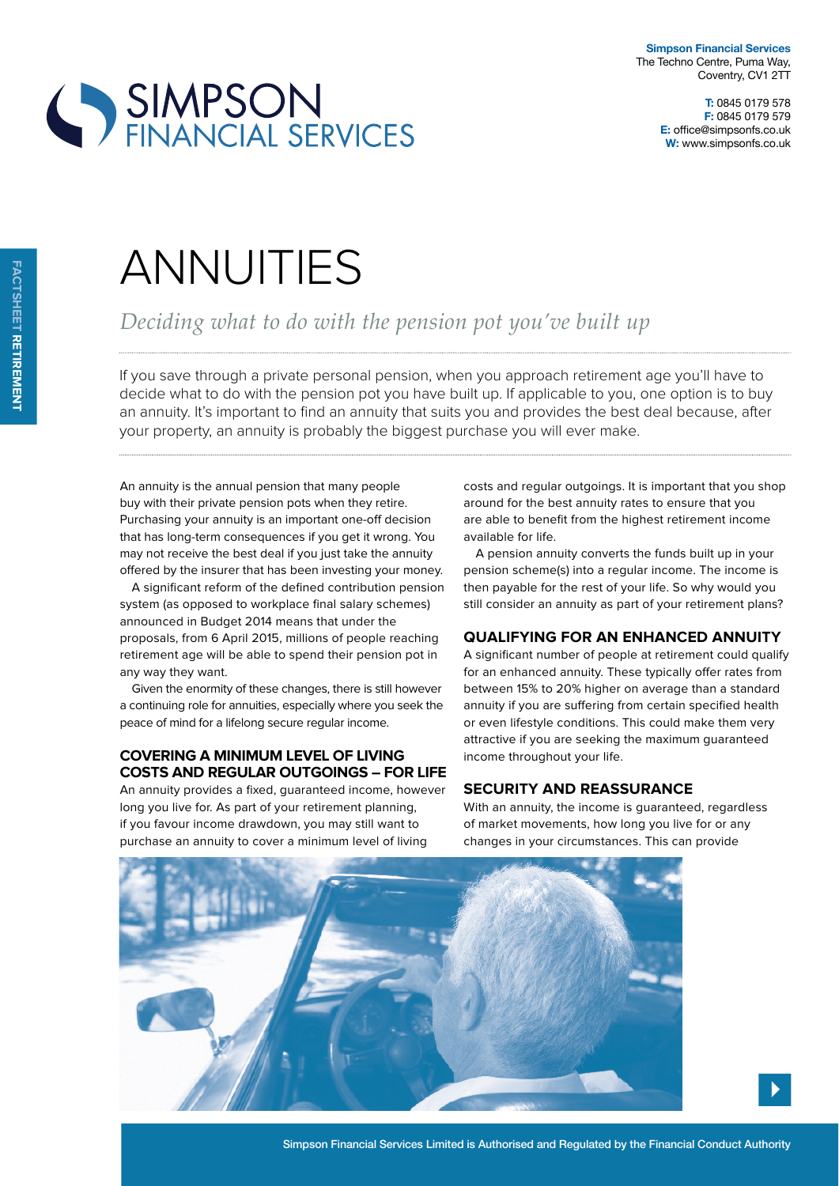



# **ANNUITIES**

*Deciding what to do with the pension pot you've built up*

If you save through a private personal pension, when you approach retirement age you'll have to decide what to do with the pension pot you have built up. If applicable to you, one option is to buy an annuity. It's important to find an annuity that suits you and provides the best deal because, after your property, an annuity is probably the biggest purchase you will ever make.

An annuity is the annual pension that many people buy with their private pension pots when they retire. Purchasing your annuity is an important one-off decision that has long-term consequences if you get it wrong. You may not receive the best deal if you just take the annuity offered by the insurer that has been investing your money.

A significant reform of the defined contribution pension system (as opposed to workplace final salary schemes) announced in Budget 2014 means that under the proposals, from 6 April 2015, millions of people reaching retirement age will be able to spend their pension pot in any way they want.

Given the enormity of these changes, there is still however a continuing role for annuities, especially where you seek the peace of mind for a lifelong secure regular income.

# **covering a minimum level oF living costs and regular outgoings – For liFe**

An annuity provides a fixed, guaranteed income, however long you live for. As part of your retirement planning, if you favour income drawdown, you may still want to purchase an annuity to cover a minimum level of living

costs and regular outgoings. It is important that you shop around for the best annuity rates to ensure that you are able to benefit from the highest retirement income available for life.

A pension annuity converts the funds built up in your pension scheme(s) into a regular income. The income is then payable for the rest of your life. So why would you still consider an annuity as part of your retirement plans?

# **QualiFying For an enHanced annuity**

A significant number of people at retirement could qualify for an enhanced annuity. These typically offer rates from between 15% to 20% higher on average than a standard annuity if you are suffering from certain specified health or even lifestyle conditions. This could make them very attractive if you are seeking the maximum guaranteed income throughout your life.

#### **security and reassurance**

With an annuity, the income is quaranteed, regardless of market movements, how long you live for or any changes in your circumstances. This can provide